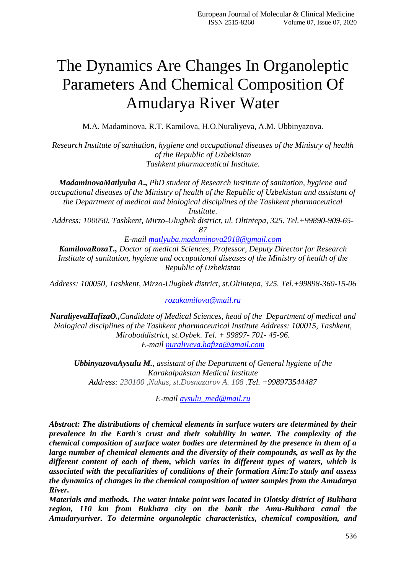# The Dynamics Are Changes In Organoleptic Parameters And Chemical Composition Of Amudarya River Water

M.A. Madaminova, R.T. Kamilova, H.O.Nuraliyeva, A.M. Ubbinyazova.

*Research Institute of sanitation, hygiene and occupational diseases of the Ministry of health of the Republic of Uzbekistan Tashkent pharmaceutical Institute.*

*MadaminovaMatlyuba A., PhD student of Research Institute of sanitation, hygiene and occupational diseases of the Ministry of health of the Republic of Uzbekistan and assistant of the Department of medical and biological disciplines of the Tashkent pharmaceutical Institute.*

*Address: 100050, Tashkent, Mirzo-Ulugbek district, ul. Oltintepa, 325. Tel.+99890-909-65- 87*

*E-mail [matlyuba.madaminova2018@gmail.com](mailto:matlyuba.madaminova2018@gmail.com)*

*KamilovaRozaT., Doctor of medical Sciences, Professor, Deputy Director for Research Institute of sanitation, hygiene and occupational diseases of the Ministry of health of the Republic of Uzbekistan*

*Address: 100050, Tashkent, Mirzo-Ulugbek district, st.Oltintepa, 325. Tel.+99898-360-15-0[6](mailto:rozakamilova@mail.ru)*

*[rozakamilova@mail.ru](mailto:rozakamilova@mail.ru)*

*NuraliyevaHafizaO.,Candidate of Medical Sciences, head of the Department of medical and biological disciplines of the Tashkent pharmaceutical Institute Address: 100015, Tashkent, Miroboddistrict, st.Oybek. Tel. + 99897- 701- 45-96. E-mail [nuraliyeva.hafiza@gmail.com](mailto:nuraliyeva.hafiza@gmail.com)*

*UbbinyazovaAysulu M., assistant of the Department of General hygiene of the Karakalpakstan Medical Institute Address: 230100 ,Nukus, st.Dosnazarov A. 108 .Tel. +998973544487*

*E-mail [aysulu\\_med@mail.ru](mailto:aysulu_med@mail.ru)*

*Abstract: The distributions of chemical elements in surface waters are determined by their prevalence in the Earth's crust and their solubility in water. The complexity of the chemical composition of surface water bodies are determined by the presence in them of a large number of chemical elements and the diversity of their compounds, as well as by the different content of each of them, which varies in different types of waters, which is associated with the peculiarities of conditions of their formation Aim:To study and assess the dynamics of changes in the chemical composition of water samples from the Amudarya River.*

*Materials and methods. The water intake point was located in Olotsky district of Bukhara region, 110 km from Bukhara city on the bank the Amu-Bukhara canal the Amudaryariver. To determine organoleptic characteristics, chemical composition, and*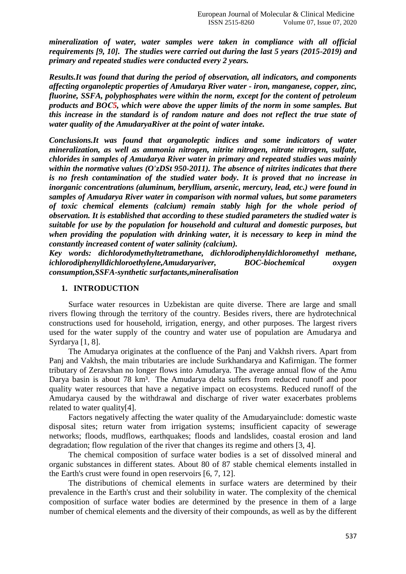*mineralization of water, water samples were taken in compliance with all official requirements [9, 10]. The studies were carried out during the last 5 years (2015-2019) and primary and repeated studies were conducted every 2 years.*

*Results.It was found that during the period of observation, all indicators, and components affecting organoleptic properties of Amudarya River water - iron, manganese, copper, zinc, fluorine, SSFA, polyphosphates were within the norm, except for the content of petroleum products and BOС5, which were above the upper limits of the norm in some samples. But this increase in the standard is of random nature and does not reflect the true state of water quality of the AmudaryaRiver at the point of water intake.*

*Conclusions.It was found that organoleptic indices and some indicators of water mineralization, as well as ammonia nitrogen, nitrite nitrogen, nitrate nitrogen, sulfate, chlorides in samples of Amudarya River water in primary and repeated studies was mainly within the normative values (O'zDSt 950-2011). The absence of nitrites indicates that there is no fresh contamination of the studied water body. It is proved that no increase in inorganic concentrations (aluminum, beryllium, arsenic, mercury, lead, etc.) were found in samples of Amudarya River water in comparison with normal values, but some parameters of toxic chemical elements (calcium) remain stably high for the whole period of observation. It is established that according to these studied parameters the studied water is suitable for use by the population for household and cultural and domestic purposes, but when providing the population with drinking water, it is necessary to keep in mind the constantly increased content of water salinity (calcium).*

*Key words: dichlorodymethyltetramethane, dichlorodiphenyldichloromethyl methane, ichlorodiphenylldichloroethylene,Amudaryariver, BOC-biochemical oxygen consumption,SSFA-synthetic surfactants,mineralisation* 

## **1. INTRODUCTION**

Surface water resources in Uzbekistan are quite diverse. There are large and small rivers flowing through the territory of the country. Besides rivers, there are hydrotechnical constructions used for household, irrigation, energy, and other purposes. The largest rivers used for the water supply of the country and water use of population are Amudarya and Syrdarya [1, 8].

The Amudarya originates at the confluence of the Panj and Vakhsh rivers. Apart from Panj and Vakhsh, the main tributaries are include Surkhandarya and Kafirnigan. The former tributary of Zeravshan no longer flows into Amudarya. The average annual flow of the Amu Darya basin is about 78 km<sup>3</sup>. The Amudarya delta suffers from reduced runoff and poor quality water resources that have a negative impact on ecosystems. Reduced runoff of the Amudarya caused by the withdrawal and discharge of river water exacerbates problems related to water quality[4].

Factors negatively affecting the water quality of the Amudaryainclude: domestic waste disposal sites; return water from irrigation systems; insufficient capacity of sewerage networks; floods, mudflows, earthquakes; floods and landslides, coastal erosion and land degradation; flow regulation of the river that changes its regime and others [3, 4].

The chemical composition of surface water bodies is a set of dissolved mineral and organic substances in different states. About 80 of 87 stable chemical elements installed in the Earth's crust were found in open reservoirs [6, 7, 12].

The distributions of chemical elements in surface waters are determined by their prevalence in the Earth's crust and their solubility in water. The complexity of the chemical composition of surface water bodies are determined by the presence in them of a large number of chemical elements and the diversity of their compounds, as well as by the different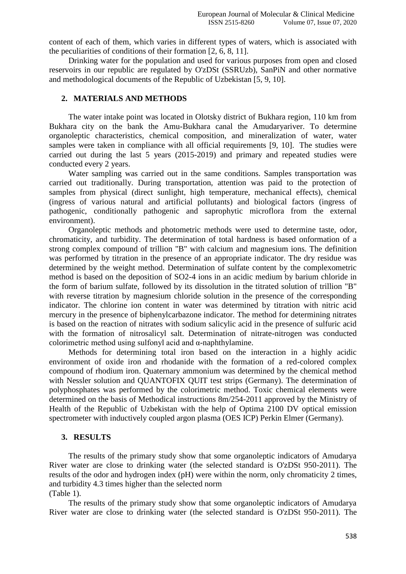content of each of them, which varies in different types of waters, which is associated with the peculiarities of conditions of their formation [2, 6, 8, 11].

Drinking water for the population and used for various purposes from open and closed reservoirs in our republic are regulated by O'zDSt (SSRUzb), SanPiN and other normative and methodological documents of the Republic of Uzbekistan [5, 9, 10].

#### **2. MATERIALS AND METHODS**

The water intake point was located in Olotsky district of Bukhara region, 110 km from Bukhara city on the bank the Amu-Bukhara canal the Amudaryariver. To determine organoleptic characteristics, chemical composition, and mineralization of water, water samples were taken in compliance with all official requirements [9, 10]. The studies were carried out during the last 5 years (2015-2019) and primary and repeated studies were conducted every 2 years.

Water sampling was carried out in the same conditions. Samples transportation was carried out traditionally. During transportation, attention was paid to the protection of samples from physical (direct sunlight, high temperature, mechanical effects), chemical (ingress of various natural and artificial pollutants) and biological factors (ingress of pathogenic, conditionally pathogenic and saprophytic microflora from the external environment).

Organoleptic methods and photometric methods were used to determine taste, odor, chromaticity, and turbidity. The determination of total hardness is based onformation of a strong complex compound of trillion "B" with calcium and magnesium ions. The definition was performed by titration in the presence of an appropriate indicator. The dry residue was determined by the weight method. Determination of sulfate content by the complexometric method is based on the deposition of SO2-4 ions in an acidic medium by barium chloride in the form of barium sulfate, followed by its dissolution in the titrated solution of trillion "B" with reverse titration by magnesium chloride solution in the presence of the corresponding indicator. The chlorine ion content in water was determined by titration with nitric acid mercury in the presence of biphenylcarbazone indicator. The method for determining nitrates is based on the reaction of nitrates with sodium salicylic acid in the presence of sulfuric acid with the formation of nitrosalicyl salt. Determination of nitrate-nitrogen was conducted colorimetric method using sulfonyl acid and α-naphthylamine.

Methods for determining total iron based on the interaction in a highly acidic environment of oxide iron and rhodanide with the formation of a red-colored complex compound of rhodium iron. Quaternary ammonium was determined by the chemical method with Nessler solution and QUANTOFIX QUIT test strips (Germany). The determination of polyphosphates was performed by the colorimetric method. Toxic chemical elements were determined on the basis of Methodical instructions 8m/254-2011 approved by the Ministry of Health of the Republic of Uzbekistan with the help of Optima 2100 DV optical emission spectrometer with inductively coupled argon plasma (OES ICP) Perkin Elmer (Germany).

## **3. RESULTS**

The results of the primary study show that some organoleptic indicators of Amudarya River water are close to drinking water (the selected standard is O'zDSt 950-2011). The results of the odor and hydrogen index (pH) were within the norm, only chromaticity 2 times, and turbidity 4.3 times higher than the selected norm (Table 1).

The results of the primary study show that some organoleptic indicators of Amudarya River water are close to drinking water (the selected standard is O'zDSt 950-2011). The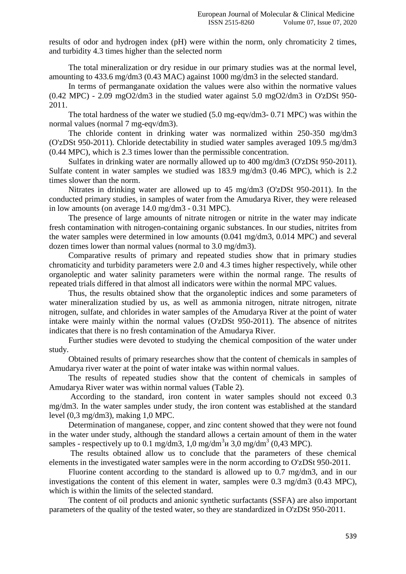results of odor and hydrogen index (pH) were within the norm, only chromaticity 2 times, and turbidity 4.3 times higher than the selected norm

The total mineralization or dry residue in our primary studies was at the normal level, amounting to 433.6 mg/dm3 (0.43 MAC) against 1000 mg/dm3 in the selected standard.

In terms of permanganate oxidation the values were also within the normative values (0.42 MPC) - 2.09 mgO2/dm3 in the studied water against 5.0 mgO2/dm3 in O'zDSt 950- 2011.

The total hardness of the water we studied (5.0 mg-eqv/dm3- 0.71 MPC) was within the normal values (normal 7 mg-eqv/dm3).

The chloride content in drinking water was normalized within 250-350 mg/dm3 (O'zDSt 950-2011). Chloride detectability in studied water samples averaged 109.5 mg/dm3 (0.44 MPC), which is 2.3 times lower than the permissible concentration.

Sulfates in drinking water are normally allowed up to 400 mg/dm3 (O'zDSt 950-2011). Sulfate content in water samples we studied was 183.9 mg/dm3 (0.46 MPC), which is 2.2 times slower than the norm.

Nitrates in drinking water are allowed up to 45 mg/dm3 (O'zDSt 950-2011). In the conducted primary studies, in samples of water from the Amudarya River, they were released in low amounts (on average 14.0 mg/dm3 - 0.31 MPC).

The presence of large amounts of nitrate nitrogen or nitrite in the water may indicate fresh contamination with nitrogen-containing organic substances. In our studies, nitrites from the water samples were determined in low amounts (0.041 mg/dm3, 0.014 MPC) and several dozen times lower than normal values (normal to 3.0 mg/dm3).

Comparative results of primary and repeated studies show that in primary studies chromaticity and turbidity parameters were 2.0 and 4.3 times higher respectively, while other organoleptic and water salinity parameters were within the normal range. The results of repeated trials differed in that almost all indicators were within the normal MPC values.

Thus, the results obtained show that the organoleptic indices and some parameters of water mineralization studied by us, as well as ammonia nitrogen, nitrate nitrogen, nitrate nitrogen, sulfate, and chlorides in water samples of the Amudarya River at the point of water intake were mainly within the normal values (O'zDSt 950-2011). The absence of nitrites indicates that there is no fresh contamination of the Amudarya River.

Further studies were devoted to studying the chemical composition of the water under study.

Obtained results of primary researches show that the content of chemicals in samples of Amudarya river water at the point of water intake was within normal values.

The results of repeated studies show that the content of chemicals in samples of Amudarya River water was within normal values (Table 2).

According to the standard, iron content in water samples should not exceed 0.3 mg/dm3. In the water samples under study, the iron content was established at the standard level (0,3 mg/dm3), making 1,0 MPC.

Determination of manganese, copper, and zinc content showed that they were not found in the water under study, although the standard allows a certain amount of them in the water samples - respectively up to 0.1 mg/dm3, 1,0 mg/dm<sup>3</sup>  $\mu$  3,0 mg/dm<sup>3</sup> (0,43 MPC).

The results obtained allow us to conclude that the parameters of these chemical elements in the investigated water samples were in the norm according to O'zDSt 950-2011.

Fluorine content according to the standard is allowed up to 0.7 mg/dm3, and in our investigations the content of this element in water, samples were 0.3 mg/dm3 (0.43 MPC), which is within the limits of the selected standard.

The content of oil products and anionic synthetic surfactants (SSFA) are also important parameters of the quality of the tested water, so they are standardized in O'zDSt 950-2011.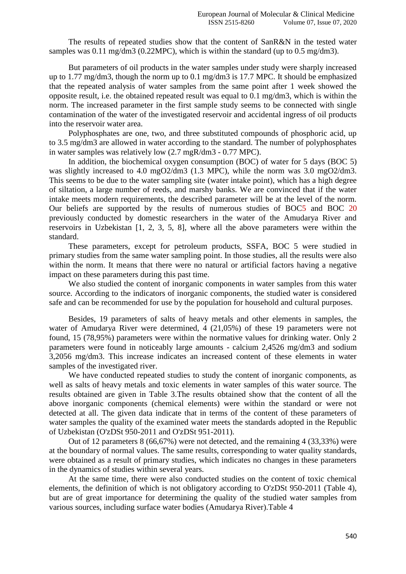The results of repeated studies show that the content of SanR&N in the tested water samples was  $0.11 \text{ mg/dm}$   $3(0.22 \text{MPC})$ , which is within the standard (up to  $0.5 \text{ mg/dm}$ ).

But parameters of oil products in the water samples under study were sharply increased up to 1.77 mg/dm3, though the norm up to 0.1 mg/dm3 is 17.7 MPC. It should be emphasized that the repeated analysis of water samples from the same point after 1 week showed the opposite result, i.e. the obtained repeated result was equal to 0.1 mg/dm3, which is within the norm. The increased parameter in the first sample study seems to be connected with single contamination of the water of the investigated reservoir and accidental ingress of oil products into the reservoir water area.

Polyphosphates are one, two, and three substituted compounds of phosphoric acid, up to 3.5 mg/dm3 are allowed in water according to the standard. The number of polyphosphates in water samples was relatively low (2.7 mgR/dm3 - 0.77 MPC).

In addition, the biochemical oxygen consumption (BOC) of water for 5 days (BOC 5) was slightly increased to 4.0 mgO2/dm3 (1.3 MPC), while the norm was 3.0 mgO2/dm3. This seems to be due to the water sampling site (water intake point), which has a high degree of siltation, a large number of reeds, and marshy banks. We are convinced that if the water intake meets modern requirements, the described parameter will be at the level of the norm. Our beliefs are supported by the results of numerous studies of BOC5 and BOC 20 previously conducted by domestic researchers in the water of the Amudarya River and reservoirs in Uzbekistan [1, 2, 3, 5, 8], where all the above parameters were within the standard.

These parameters, except for petroleum products, SSFA, BOC 5 were studied in primary studies from the same water sampling point. In those studies, all the results were also within the norm. It means that there were no natural or artificial factors having a negative impact on these parameters during this past time.

We also studied the content of inorganic components in water samples from this water source. According to the indicators of inorganic components, the studied water is considered safe and can be recommended for use by the population for household and cultural purposes.

Besides, 19 parameters of salts of heavy metals and other elements in samples, the water of Amudarya River were determined, 4 (21,05%) of these 19 parameters were not found, 15 (78,95%) parameters were within the normative values for drinking water. Only 2 parameters were found in noticeably large amounts - calcium 2,4526 mg/dm3 and sodium 3,2056 mg/dm3. This increase indicates an increased content of these elements in water samples of the investigated river.

We have conducted repeated studies to study the content of inorganic components, as well as salts of heavy metals and toxic elements in water samples of this water source. The results obtained are given in Table 3.The results obtained show that the content of all the above inorganic components (chemical elements) were within the standard or were not detected at all. The given data indicate that in terms of the content of these parameters of water samples the quality of the examined water meets the standards adopted in the Republic of Uzbekistan (O'zDSt 950-2011 and O'zDSt 951-2011).

Out of 12 parameters 8 (66,67%) were not detected, and the remaining 4 (33,33%) were at the boundary of normal values. The same results, corresponding to water quality standards, were obtained as a result of primary studies, which indicates no changes in these parameters in the dynamics of studies within several years.

At the same time, there were also conducted studies on the content of toxic chemical elements, the definition of which is not obligatory according to O'zDSt 950-2011 (Table 4), but are of great importance for determining the quality of the studied water samples from various sources, including surface water bodies (Amudarya River).Table 4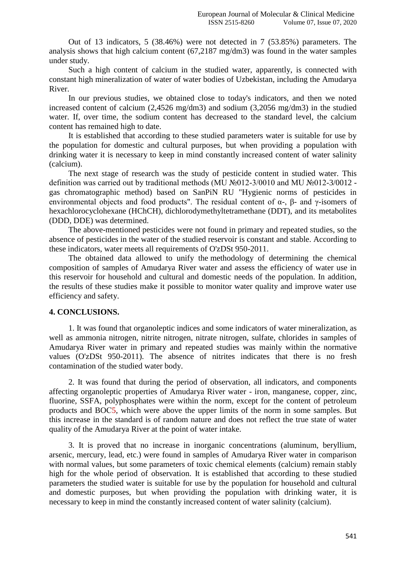Out of 13 indicators, 5 (38.46%) were not detected in 7 (53.85%) parameters. The analysis shows that high calcium content (67,2187 mg/dm3) was found in the water samples under study.

Such a high content of calcium in the studied water, apparently, is connected with constant high mineralization of water of water bodies of Uzbekistan, including the Amudarya River.

In our previous studies, we obtained close to today's indicators, and then we noted increased content of calcium (2,4526 mg/dm3) and sodium (3,2056 mg/dm3) in the studied water. If, over time, the sodium content has decreased to the standard level, the calcium content has remained high to date.

It is established that according to these studied parameters water is suitable for use by the population for domestic and cultural purposes, but when providing a population with drinking water it is necessary to keep in mind constantly increased content of water salinity (calcium).

The next stage of research was the study of pesticide content in studied water. This definition was carried out by traditional methods (MU №012-3/0010 and MU №012-3/0012 gas chromatographic method) based on SanPiN RU "Hygienic norms of pesticides in environmental objects and food products". The residual content of  $\alpha$ -,  $\beta$ - and  $\gamma$ -isomers of hexachlorocyclohexane (HChCH), dichlorodymethyltetramethane (DDT), and its metabolites (DDD, DDE) was determined.

The above-mentioned pesticides were not found in primary and repeated studies, so the absence of pesticides in the water of the studied reservoir is constant and stable. According to these indicators, water meets all requirements of O'zDSt 950-2011.

The obtained data allowed to unify the methodology of determining the chemical composition of samples of Amudarya River water and assess the efficiency of water use in this reservoir for household and cultural and domestic needs of the population. In addition, the results of these studies make it possible to monitor water quality and improve water use efficiency and safety.

#### **4. CONCLUSIONS.**

1. It was found that organoleptic indices and some indicators of water mineralization, as well as ammonia nitrogen, nitrite nitrogen, nitrate nitrogen, sulfate, chlorides in samples of Amudarya River water in primary and repeated studies was mainly within the normative values (O'zDSt 950-2011). The absence of nitrites indicates that there is no fresh contamination of the studied water body.

2. It was found that during the period of observation, all indicators, and components affecting organoleptic properties of Amudarya River water - iron, manganese, copper, zinc, fluorine, SSFA, polyphosphates were within the norm, except for the content of petroleum products and BOС5, which were above the upper limits of the norm in some samples. But this increase in the standard is of random nature and does not reflect the true state of water quality of the Amudarya River at the point of water intake.

3. It is proved that no increase in inorganic concentrations (aluminum, beryllium, arsenic, mercury, lead, etc.) were found in samples of Amudarya River water in comparison with normal values, but some parameters of toxic chemical elements (calcium) remain stably high for the whole period of observation. It is established that according to these studied parameters the studied water is suitable for use by the population for household and cultural and domestic purposes, but when providing the population with drinking water, it is necessary to keep in mind the constantly increased content of water salinity (calcium).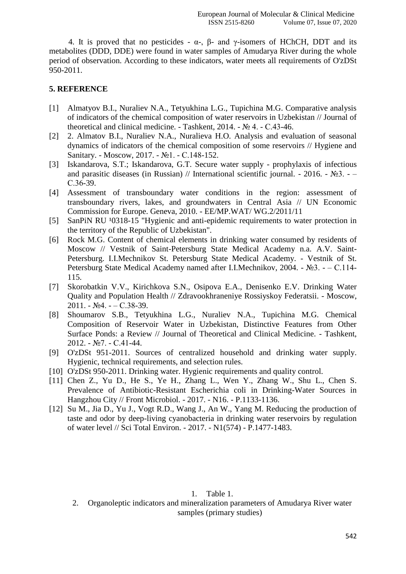4. It is proved that no pesticides -  $\alpha$ -,  $\beta$ - and γ-isomers of HChCH, DDT and its metabolites (DDD, DDE) were found in water samples of Amudarya River during the whole period of observation. According to these indicators, water meets all requirements of O'zDSt 950-2011.

## **5. REFERENCE**

- [1] Almatyov B.I., Nuraliev N.A., Tetyukhina L.G., Tupichina M.G. Comparative analysis of indicators of the chemical composition of water reservoirs in Uzbekistan // Journal of theoretical and clinical medicine. - Tashkent, 2014. - № 4. - С.43-46.
- [2] 2. Almatov B.I., Nuraliev N.A., Nuralieva H.O. Analysis and evaluation of seasonal dynamics of indicators of the chemical composition of some reservoirs // Hygiene and Sanitary. - Moscow, 2017. - №1. - С.148-152.
- [3] Iskandarova, S.T.; Iskandarova, G.T. Secure water supply prophylaxis of infectious and parasitic diseases (in Russian) // International scientific journal. - 2016. - №3. - – С.36-39.
- [4] Assessment of transboundary water conditions in the region: assessment of transboundary rivers, lakes, and groundwaters in Central Asia // UN Economic Commission for Europe. Geneva, 2010. - EE/MP.WAT/ WG.2/2011/11
- [5] SanPiN RU <sup>1</sup>0318-15 "Hygienic and anti-epidemic requirements to water protection in the territory of the Republic of Uzbekistan".
- [6] Rock M.G. Content of chemical elements in drinking water consumed by residents of Moscow // Vestnik of Saint-Petersburg State Medical Academy n.a. A.V. Saint-Petersburg. I.I.Mechnikov St. Petersburg State Medical Academy. - Vestnik of St. Petersburg State Medical Academy named after I.I.Mechnikov, 2004. - №3. - – С.114- 115.
- [7] Skorobatkin V.V., Kirichkova S.N., Osipova E.A., Denisenko E.V. Drinking Water Quality and Population Health // Zdravookhraneniye Rossiyskoy Federatsii. - Moscow, 2011. - №4. - – С.38-39.
- [8] Shoumarov S.B., Tetyukhina L.G., Nuraliev N.A., Tupichina M.G. Chemical Composition of Reservoir Water in Uzbekistan, Distinctive Features from Other Surface Ponds: a Review // Journal of Theoretical and Clinical Medicine. - Tashkent, 2012. - №7. - С.41-44.
- [9] O'zDSt 951-2011. Sources of centralized household and drinking water supply. Hygienic, technical requirements, and selection rules.
- [10] O'zDSt 950-2011. Drinking water. Hygienic requirements and quality control.
- [11] Chen Z., Yu D., He S., Ye H., Zhang L., Wen Y., Zhang W., Shu L., Chen S. Prevalence of Antibiotic-Resistant Escherichia coli in Drinking-Water Sources in Hangzhou City // Front Microbiol. - 2017. - N16. - P.1133-1136.
- [12] Su M., Jia D., Yu J., Vogt R.D., Wang J., An W., Yang M. Reducing the production of taste and odor by deep-living cyanobacteria in drinking water reservoirs by regulation of water level // Sci Total Environ. - 2017. - N1(574) - P.1477-1483.

## 1. Table 1.

2. Organoleptic indicators and mineralization parameters of Amudarya River water samples (primary studies)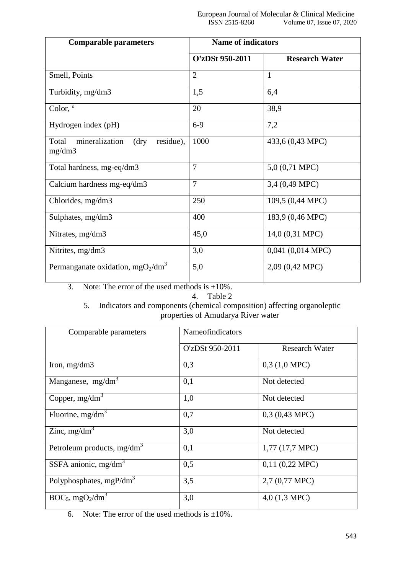| <b>Comparable parameters</b>                                    | <b>Name of indicators</b> |                       |
|-----------------------------------------------------------------|---------------------------|-----------------------|
|                                                                 | O'zDSt 950-2011           | <b>Research Water</b> |
| Smell, Points                                                   | $\overline{2}$            | $\mathbf{1}$          |
| Turbidity, mg/dm3                                               | 1,5                       | 6,4                   |
| Color, °                                                        | 20                        | 38,9                  |
| Hydrogen index (pH)                                             | $6-9$                     | 7,2                   |
| mineralization<br>Total<br>$\langle$ dry<br>residue),<br>mg/dm3 | 1000                      | 433,6 (0,43 MPC)      |
| Total hardness, mg-eq/dm3                                       | $\overline{7}$            | 5,0 (0,71 MPC)        |
| Calcium hardness mg-eq/dm3                                      | $\overline{7}$            | 3,4 (0,49 MPC)        |
| Chlorides, mg/dm3                                               | 250                       | 109,5 (0,44 MPC)      |
| Sulphates, mg/dm3                                               | 400                       | 183,9 (0,46 MPC)      |
| Nitrates, mg/dm3                                                | 45,0                      | 14,0 (0,31 MPC)       |
| Nitrites, mg/dm3                                                | 3,0                       | $0,041$ $(0,014$ MPC) |
| Permanganate oxidation, $mgO2/dm3$                              | 5,0                       | 2,09 (0,42 MPC)       |

3. Note: The error of the used methods is  $\pm 10\%$ .

4. Table 2

# 5. Indicators and components (chemical composition) affecting organoleptic properties of Amudarya River water

| Comparable parameters                       | Nameofindicators |                         |
|---------------------------------------------|------------------|-------------------------|
|                                             | O'zDSt 950-2011  | <b>Research Water</b>   |
| Iron, $mg/dm3$                              | 0,3              | $0,3(1,0 \text{ MPC})$  |
| Manganese, mg/dm <sup>3</sup>               | 0,1              | Not detected            |
| Copper, $mg/dm3$                            | 1,0              | Not detected            |
| Fluorine, $mg/dm3$                          | 0,7              | $0,3(0,43 \text{ MPC})$ |
| Zinc, $mg/dm3$                              | 3,0              | Not detected            |
| Petroleum products, $mg/dm3$                | 0,1              | $1,77$ (17,7 MPC)       |
| SSFA anionic, $mg/dm3$                      | 0,5              | $0,11$ $(0,22$ MPC)     |
| Polyphosphates, $mgP/dm3$                   | 3,5              | $2,7(0,77 \text{ MPC})$ |
| $BOC_5$ , mgO <sub>2</sub> /dm <sup>3</sup> | 3,0              | $4,0(1,3 \text{ MPC})$  |

6. Note: The error of the used methods is  $\pm 10\%$ .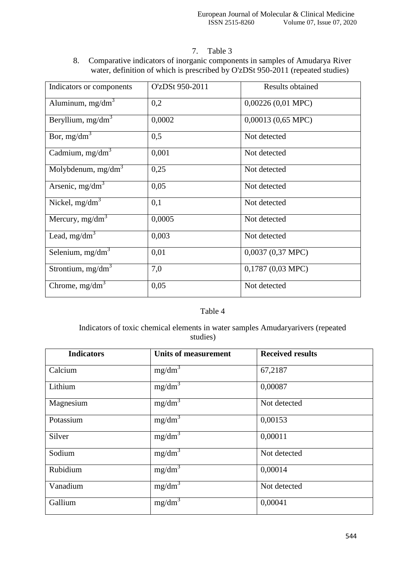7. Table 3

8. Comparative indicators of inorganic components in samples of Amudarya River water, definition of which is prescribed by O'zDSt 950-2011 (repeated studies)

| Indicators or components | O'zDSt 950-2011 | <b>Results obtained</b> |
|--------------------------|-----------------|-------------------------|
| Aluminum, $mg/dm3$       | 0,2             | $0,00226(0,01$ MPC)     |
| Beryllium, $mg/dm^3$     | 0,0002          | 0,00013 (0,65 MPC)      |
| Bor, $mg/dm^3$           | 0,5             | Not detected            |
| Cadmium, $mg/dm3$        | 0,001           | Not detected            |
| Molybdenum, $mg/dm3$     | 0,25            | Not detected            |
| Arsenic, $mg/dm3$        | 0,05            | Not detected            |
| Nickel, $mg/dm3$         | 0,1             | Not detected            |
| Mercury, $mg/dm^3$       | 0,0005          | Not detected            |
| Lead, $mg/dm^3$          | 0,003           | Not detected            |
| Selenium, $mg/dm3$       | 0,01            | $0,0037$ $(0,37$ MPC)   |
| Strontium, $mg/dm3$      | 7,0             | $0,1787$ $(0,03$ MPC)   |
| Chrome, $mg/dm3$         | 0,05            | Not detected            |

# Table 4

Indicators of toxic chemical elements in water samples Amudaryarivers (repeated studies)

| <b>Indicators</b> | <b>Units of measurement</b> | <b>Received results</b> |
|-------------------|-----------------------------|-------------------------|
| Calcium           | $mg/dm^3$                   | 67,2187                 |
| Lithium           | mg/dm <sup>3</sup>          | 0,00087                 |
| Magnesium         | $mg/dm^3$                   | Not detected            |
| Potassium         | $mg/dm^3$                   | 0,00153                 |
| Silver            | $mg/dm^3$                   | 0,00011                 |
| Sodium            | $mg/dm^3$                   | Not detected            |
| Rubidium          | $mg/dm^3$                   | 0,00014                 |
| Vanadium          | mg/dm <sup>3</sup>          | Not detected            |
| Gallium           | $mg/dm^3$                   | 0,00041                 |